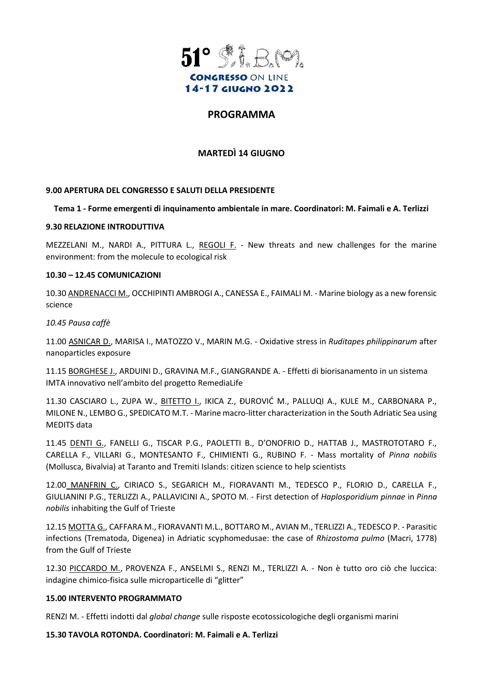

# **PROGRAMMA**

## **MARTEDÌ 14 GIUGNO**

### **9.00 APERTURA DEL CONGRESSO E SALUTI DELLA PRESIDENTE**

#### **Tema 1 - Forme emergenti di inquinamento ambientale in mare. Coordinatori: M. Faimali e A. Terlizzi**

#### **9.30 RELAZIONE INTRODUTTIVA**

MEZZELANI M., NARDI A., PITTURA L., REGOLI F. - New threats and new challenges for the marine environment: from the molecule to ecological risk

#### **10.30 – 12.45 COMUNICAZIONI**

10.30 ANDRENACCI M., OCCHIPINTI AMBROGI A., CANESSA E., FAIMALI M. - Marine biology as a new forensic science

#### *10.45 Pausa caffè*

11.00 ASNICAR D., MARISA I., MATOZZO V., MARIN M.G. - Oxidative stress in *Ruditapes philippinarum* after nanoparticles exposure

11.15 BORGHESE J., ARDUINI D., GRAVINA M.F., GIANGRANDE A. - Effetti di biorisanamento in un sistema IMTA innovativo nell'ambito del progetto RemediaLife

11.30 CASCIARO L., ZUPA W., BITETTO I., IKICA Z., ÐUROVIĆ M., PALLUQI A., KULE M., CARBONARA P., MILONE N., LEMBO G., SPEDICATO M.T. - Marine macro-litter characterization in the South Adriatic Sea using MEDITS data

11.45 DENTI G., FANELLI G., TISCAR P.G., PAOLETTI B., D'ONOFRIO D., HATTAB J., MASTROTOTARO F., CARELLA F., VILLARI G., MONTESANTO F., CHIMIENTI G., RUBINO F. - Mass mortality of *Pinna nobilis* (Mollusca, Bivalvia) at Taranto and Tremiti Islands: citizen science to help scientists

12.00 MANFRIN C., CIRIACO S., SEGARICH M., FIORAVANTI M., TEDESCO P., FLORIO D., CARELLA F., GIULIANINI P.G., TERLIZZI A., PALLAVICINI A., SPOTO M. - First detection of *Haplosporidium pinnae* in *Pinna nobilis* inhabiting the Gulf of Trieste

12.15 MOTTA G., CAFFARA M., FIORAVANTI M.L., BOTTARO M., AVIAN M., TERLIZZI A., TEDESCO P. - Parasitic infections (Trematoda, Digenea) in Adriatic scyphomedusae: the case of *Rhizostoma pulmo* (Macri, 1778) from the Gulf of Trieste

12.30 PICCARDO M., PROVENZA F., ANSELMI S., RENZI M., TERLIZZI A. - Non è tutto oro ciò che luccica: indagine chimico-fisica sulle microparticelle di "glitter"

#### **15.00 INTERVENTO PROGRAMMATO**

RENZI M. - Effetti indotti dal *global change* sulle risposte ecotossicologiche degli organismi marini

**15.30 TAVOLA ROTONDA. Coordinatori: M. Faimali e A. Terlizzi**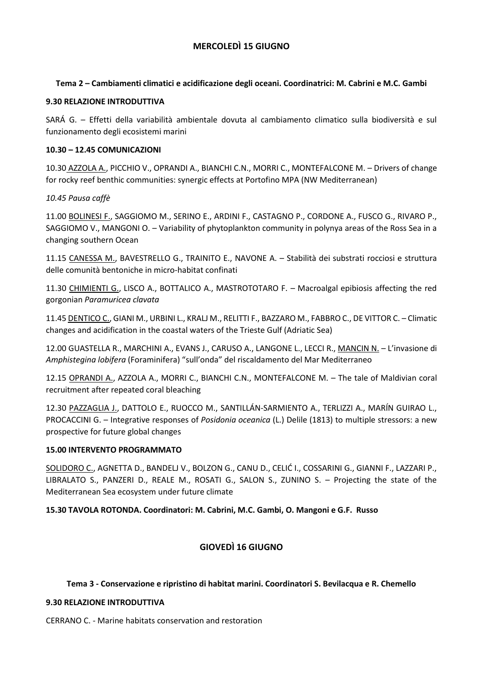## **MERCOLEDÌ 15 GIUGNO**

### **Tema 2 – Cambiamenti climatici e acidificazione degli oceani. Coordinatrici: M. Cabrini e M.C. Gambi**

#### **9.30 RELAZIONE INTRODUTTIVA**

SARÁ G. – Effetti della variabilità ambientale dovuta al cambiamento climatico sulla biodiversità e sul funzionamento degli ecosistemi marini

### **10.30 – 12.45 COMUNICAZIONI**

10.30 AZZOLA A., PICCHIO V., OPRANDI A., BIANCHI C.N., MORRI C., MONTEFALCONE M. – Drivers of change for rocky reef benthic communities: synergic effects at Portofino MPA (NW Mediterranean)

### *10.45 Pausa caffè*

11.00 BOLINESI F., SAGGIOMO M., SERINO E., ARDINI F., CASTAGNO P., CORDONE A., FUSCO G., RIVARO P., SAGGIOMO V., MANGONI O. – Variability of phytoplankton community in polynya areas of the Ross Sea in a changing southern Ocean

11.15 CANESSA M., BAVESTRELLO G., TRAINITO E., NAVONE A. – Stabilità dei substrati rocciosi e struttura delle comunità bentoniche in micro-habitat confinati

11.30 CHIMIENTI G., LISCO A., BOTTALICO A., MASTROTOTARO F. - Macroalgal epibiosis affecting the red gorgonian *Paramuricea clavata*

11.45 DENTICO C., GIANI M., URBINI L., KRALJ M., RELITTI F., BAZZARO M., FABBRO C., DE VITTOR C. – Climatic changes and acidification in the coastal waters of the Trieste Gulf (Adriatic Sea)

12.00 GUASTELLA R., MARCHINI A., EVANS J., CARUSO A., LANGONE L., LECCI R., MANCIN N. – L'invasione di *Amphistegina lobifera* (Foraminifera) "sull'onda" del riscaldamento del Mar Mediterraneo

12.15 OPRANDI A., AZZOLA A., MORRI C., BIANCHI C.N., MONTEFALCONE M. - The tale of Maldivian coral recruitment after repeated coral bleaching

12.30 PAZZAGLIA J., DATTOLO E., RUOCCO M., SANTILLÁN-SARMIENTO A., TERLIZZI A., MARÍN GUIRAO L., PROCACCINI G. – Integrative responses of *Posidonia oceanica* (L.) Delile (1813) to multiple stressors: a new prospective for future global changes

#### **15.00 INTERVENTO PROGRAMMATO**

SOLIDORO C., AGNETTA D., BANDELJ V., BOLZON G., CANU D., CELIĆ I., COSSARINI G., GIANNI F., LAZZARI P., LIBRALATO S., PANZERI D., REALE M., ROSATI G., SALON S., ZUNINO S. – Projecting the state of the Mediterranean Sea ecosystem under future climate

## **15.30 TAVOLA ROTONDA. Coordinatori: M. Cabrini, M.C. Gambi, O. Mangoni e G.F. Russo**

## **GIOVEDÌ 16 GIUGNO**

## **Tema 3 - Conservazione e ripristino di habitat marini. Coordinatori S. Bevilacqua e R. Chemello**

#### **9.30 RELAZIONE INTRODUTTIVA**

CERRANO C. - Marine habitats conservation and restoration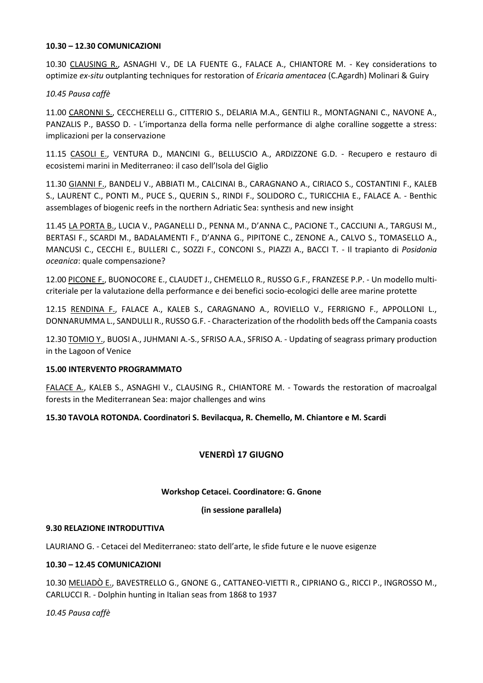#### **10.30 – 12.30 COMUNICAZIONI**

10.30 CLAUSING R., ASNAGHI V., DE LA FUENTE G., FALACE A., CHIANTORE M. - Key considerations to optimize *ex-situ* outplanting techniques for restoration of *Ericaria amentacea* (C.Agardh) Molinari & Guiry

#### *10.45 Pausa caffè*

11.00 CARONNI S., CECCHERELLI G., CITTERIO S., DELARIA M.A., GENTILI R., MONTAGNANI C., NAVONE A., PANZALIS P., BASSO D. - L'importanza della forma nelle performance di alghe coralline soggette a stress: implicazioni per la conservazione

11.15 CASOLI E., VENTURA D., MANCINI G., BELLUSCIO A., ARDIZZONE G.D. - Recupero e restauro di ecosistemi marini in Mediterraneo: il caso dell'Isola del Giglio

11.30 GIANNI F., BANDELJ V., ABBIATI M., CALCINAI B., CARAGNANO A., CIRIACO S., COSTANTINI F., KALEB S., LAURENT C., PONTI M., PUCE S., QUERIN S., RINDI F., SOLIDORO C., TURICCHIA E., FALACE A. - Benthic assemblages of biogenic reefs in the northern Adriatic Sea: synthesis and new insight

11.45 LA PORTA B., LUCIA V., PAGANELLI D., PENNA M., D'ANNA C., PACIONE T., CACCIUNI A., TARGUSI M., BERTASI F., SCARDI M., BADALAMENTI F., D'ANNA G., PIPITONE C., ZENONE A., CALVO S., TOMASELLO A., MANCUSI C., CECCHI E., BULLERI C., SOZZI F., CONCONI S., PIAZZI A., BACCI T. - Il trapianto di *Posidonia oceanica*: quale compensazione?

12.00 PICONE F., BUONOCORE E., CLAUDET J., CHEMELLO R., RUSSO G.F., FRANZESE P.P. - Un modello multicriteriale per la valutazione della performance e dei benefici socio-ecologici delle aree marine protette

12.15 RENDINA F., FALACE A., KALEB S., CARAGNANO A., ROVIELLO V., FERRIGNO F., APPOLLONI L., DONNARUMMA L., SANDULLI R., RUSSO G.F. - Characterization of the rhodolith beds off the Campania coasts

12.30 TOMIO Y., BUOSI A., JUHMANI A.-S., SFRISO A.A., SFRISO A. - Updating of seagrass primary production in the Lagoon of Venice

#### **15.00 INTERVENTO PROGRAMMATO**

FALACE A., KALEB S., ASNAGHI V., CLAUSING R., CHIANTORE M. - Towards the restoration of macroalgal forests in the Mediterranean Sea: major challenges and wins

## **15.30 TAVOLA ROTONDA. Coordinatori S. Bevilacqua, R. Chemello, M. Chiantore e M. Scardi**

# **VENERDÌ 17 GIUGNO**

#### **Workshop Cetacei. Coordinatore: G. Gnone**

**(in sessione parallela)**

#### **9.30 RELAZIONE INTRODUTTIVA**

LAURIANO G. - Cetacei del Mediterraneo: stato dell'arte, le sfide future e le nuove esigenze

#### **10.30 – 12.45 COMUNICAZIONI**

10.30 MELIADÒ E., BAVESTRELLO G., GNONE G., CATTANEO-VIETTI R., CIPRIANO G., RICCI P., INGROSSO M., CARLUCCI R. - Dolphin hunting in Italian seas from 1868 to 1937

*10.45 Pausa caffè*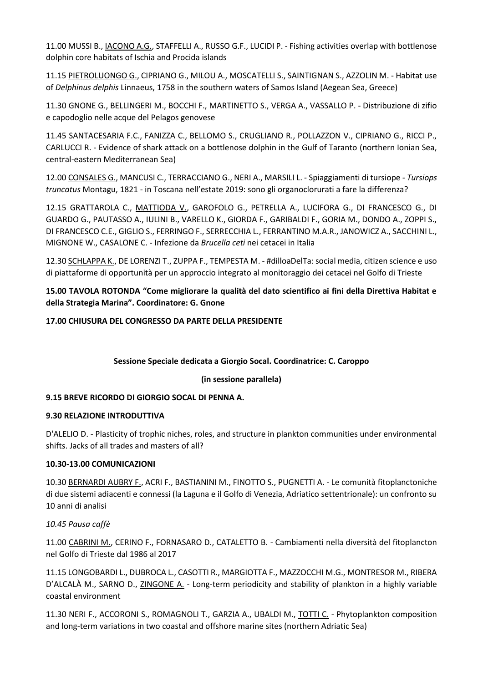11.00 MUSSI B., IACONO A.G., STAFFELLI A., RUSSO G.F., LUCIDI P. - Fishing activities overlap with bottlenose dolphin core habitats of Ischia and Procida islands

11.15 PIETROLUONGO G., CIPRIANO G., MILOU A., MOSCATELLI S., SAINTIGNAN S., AZZOLIN M. - Habitat use of *Delphinus delphis* Linnaeus, 1758 in the southern waters of Samos Island (Aegean Sea, Greece)

11.30 GNONE G., BELLINGERI M., BOCCHI F., MARTINETTO S., VERGA A., VASSALLO P. - Distribuzione di zifio e capodoglio nelle acque del Pelagos genovese

11.45 SANTACESARIA F.C., FANIZZA C., BELLOMO S., CRUGLIANO R., POLLAZZON V., CIPRIANO G., RICCI P., CARLUCCI R. - Evidence of shark attack on a bottlenose dolphin in the Gulf of Taranto (northern Ionian Sea, central-eastern Mediterranean Sea)

12.00 CONSALES G., MANCUSI C., TERRACCIANO G., NERI A., MARSILI L. - Spiaggiamenti di tursiope - *Tursiops truncatus* Montagu, 1821 - in Toscana nell'estate 2019: sono gli organoclorurati a fare la differenza?

12.15 GRATTAROLA C., MATTIODA V., GAROFOLO G., PETRELLA A., LUCIFORA G., DI FRANCESCO G., DI GUARDO G., PAUTASSO A., IULINI B., VARELLO K., GIORDA F., GARIBALDI F., GORIA M., DONDO A., ZOPPI S., DI FRANCESCO C.E., GIGLIO S., FERRINGO F., SERRECCHIA L., FERRANTINO M.A.R., JANOWICZ A., SACCHINI L., MIGNONE W., CASALONE C. - Infezione da *Brucella ceti* nei cetacei in Italia

12.30 SCHLAPPA K., DE LORENZI T., ZUPPA F., TEMPESTA M. - #dilloaDelTa: social media, citizen science e uso di piattaforme di opportunità per un approccio integrato al monitoraggio dei cetacei nel Golfo di Trieste

# **15.00 TAVOLA ROTONDA "Come migliorare la qualità del dato scientifico ai fini della Direttiva Habitat e della Strategia Marina". Coordinatore: G. Gnone**

## **17.00 CHIUSURA DEL CONGRESSO DA PARTE DELLA PRESIDENTE**

## **Sessione Speciale dedicata a Giorgio Socal. Coordinatrice: C. Caroppo**

## **(in sessione parallela)**

## **9.15 BREVE RICORDO DI GIORGIO SOCAL DI PENNA A.**

## **9.30 RELAZIONE INTRODUTTIVA**

D'ALELIO D. - Plasticity of trophic niches, roles, and structure in plankton communities under environmental shifts. Jacks of all trades and masters of all?

## **10.30-13.00 COMUNICAZIONI**

10.30 BERNARDI AUBRY F., ACRI F., BASTIANINI M., FINOTTO S., PUGNETTI A. - Le comunità fitoplanctoniche di due sistemi adiacenti e connessi (la Laguna e il Golfo di Venezia, Adriatico settentrionale): un confronto su 10 anni di analisi

## *10.45 Pausa caffè*

11.00 CABRINI M., CERINO F., FORNASARO D., CATALETTO B. - Cambiamenti nella diversità del fitoplancton nel Golfo di Trieste dal 1986 al 2017

11.15 LONGOBARDI L., DUBROCA L., CASOTTI R., MARGIOTTA F., MAZZOCCHI M.G., MONTRESOR M., RIBERA D'ALCALÀ M., SARNO D., ZINGONE A. - Long-term periodicity and stability of plankton in a highly variable coastal environment

11.30 NERI F., ACCORONI S., ROMAGNOLI T., GARZIA A., UBALDI M., TOTTI C. - Phytoplankton composition and long-term variations in two coastal and offshore marine sites (northern Adriatic Sea)